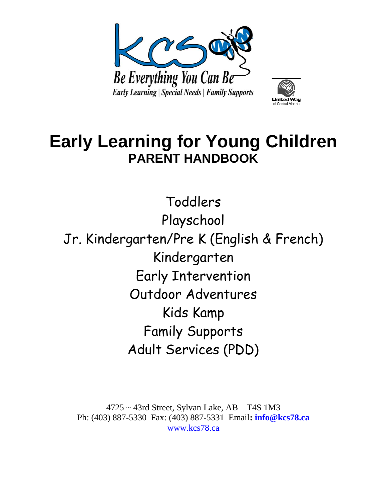



# **Early Learning for Young Children PARENT HANDBOOK**

Toddlers Playschool Jr. Kindergarten/Pre K (English & French) Kindergarten Early Intervention Outdoor Adventures Kids Kamp Family Supports Adult Services (PDD)

 $4725 \sim 43$ rd Street, Sylvan Lake, AB T4S 1M3 Ph: (403) 887-5330 Fax: (403) 887-5331 Email**: [info@kcs78.ca](mailto:info@kcs78.ca)** [www.kcs78.ca](http://www.kcs78.ca/)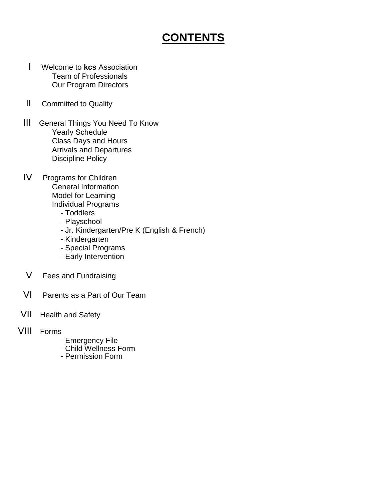# **CONTENTS**

- I Welcome to **kcs** Association Team of Professionals Our Program Directors
- II Committed to Quality
- III General Things You Need To Know Yearly Schedule Class Days and Hours Arrivals and Departures Discipline Policy
- IV Programs for Children General Information Model for Learning Individual Programs
	- Toddlers
	- Playschool
	- Jr. Kindergarten/Pre K (English & French)
	- Kindergarten
	- Special Programs
	- Early Intervention
- V Fees and Fundraising
- VI Parents as a Part of Our Team
- VII Health and Safety
- VIII Forms
	- Emergency File
	- Child Wellness Form
	- Permission Form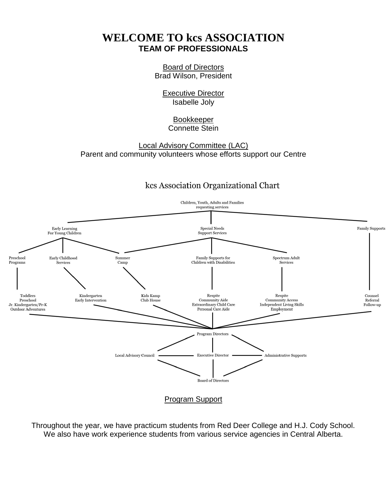# **WELCOME TO kcs ASSOCIATION TEAM OF PROFESSIONALS**

Board of Directors Brad Wilson, President

Executive Director Isabelle Joly

# Bookkeeper Connette Stein

Local Advisory Committee (LAC) Parent and community volunteers whose efforts support our Centre

# kcs Association Organizational Chart



Throughout the year, we have practicum students from Red Deer College and H.J. Cody School. We also have work experience students from various service agencies in Central Alberta.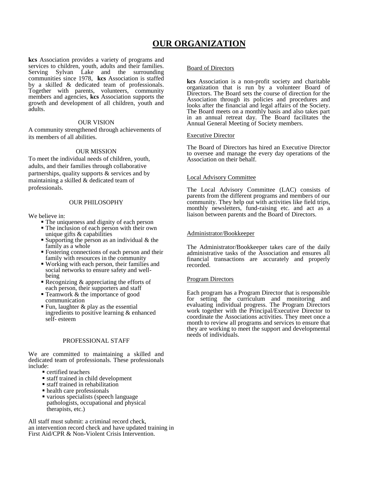# **OUR ORGANIZATION**

**kcs** Association provides a variety of programs and services to children, youth, adults and their families. Serving Sylvan Lake and the surrounding communities since 1978, **kcs** Association is staffed by a skilled & dedicated team of professionals. Together with parents, volunteers, community members and agencies, **kcs** Association supports the growth and development of all children, youth and adults.

#### OUR VISION

A community strengthened through achievements of its members of all abilities.

#### OUR MISSION

To meet the individual needs of children, youth, adults, and their families through collaborative partnerships, quality supports  $&$  services and by maintaining a skilled & dedicated team of professionals.

#### OUR PHILOSOPHY

We believe in:

- The uniqueness and dignity of each person The inclusion of each person with their own
- unique gifts & capabilities
- Supporting the person as an individual  $&$  the family as a whole
- Fostering connections of each person and their family with resources in the community
- Working with each person, their families and social networks to ensure safety and wellbeing
- Recognizing  $&$  appreciating the efforts of each person, their supporters and staff
- **Teamwork & the importance of good** communication
- Fun, laughter  $\&$  play as the essential ingredients to positive learning & enhanced self- esteem

# PROFESSIONAL STAFF

We are committed to maintaining a skilled and dedicated team of professionals. These professionals include:

- **certified teachers**
- staff trained in child development
- staff trained in rehabilitation
- health care professionals
- various specialists (speech language pathologists, occupational and physical therapists, etc.)

All staff must submit: a criminal record check, an intervention record check and have updated training in First Aid/CPR & Non-Violent Crisis Intervention.

#### Board of Directors

**kcs** Association is a non-profit society and charitable organization that is run by a volunteer Board of Directors. The Board sets the course of direction for the Association through its policies and procedures and looks after the financial and legal affairs of the Society. The Board meets on a monthly basis and also takes part in an annual retreat day. The Board facilitates the Annual General Meeting of Society members.

#### Executive Director

The Board of Directors has hired an Executive Director to oversee and manage the every day operations of the Association on their behalf.

# Local Advisory Committee

The Local Advisory Committee (LAC) consists of parents from the different programs and members of our community. They help out with activities like field trips, monthly newsletters, fund-raising etc. and act as a liaison between parents and the Board of Directors.

#### Administrator/Bookkeeper

The Administrator/Bookkeeper takes care of the daily administrative tasks of the Association and ensures all financial transactions are accurately and properly recorded.

#### Program Directors

Each program has a Program Director that is responsible for setting the curriculum and monitoring and evaluating individual progress. The Program Directors work together with the Principal/Executive Director to coordinate the Associations activities. They meet once a month to review all programs and services to ensure that they are working to meet the support and developmental needs of individuals.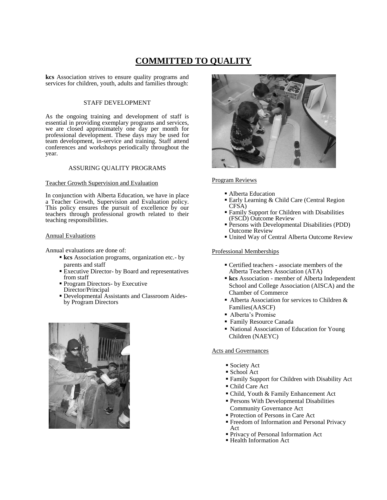# **COMMITTED TO QUALITY**

**kcs** Association strives to ensure quality programs and services for children, youth, adults and families through:

# STAFF DEVELOPMENT

As the ongoing training and development of staff is essential in providing exemplary programs and services, we are closed approximately one day per month for professional development. These days may be used for team development, in-service and training. Staff attend conferences and workshops periodically throughout the year.

#### ASSURING QUALITY PROGRAMS

#### Teacher Growth Supervision and Evaluation

In conjunction with Alberta Education, we have in place a Teacher Growth, Supervision and Evaluation policy. This policy ensures the pursuit of excellence by our teachers through professional growth related to their teaching responsibilities.

#### Annual Evaluations

Annual evaluations are done of:

- **kcs** Association programs, organization etc.- by parents and staff
- **Executive Director- by Board and representatives** from staff
- **Program Directors- by Executive** Director/Principal
- Developmental Assistants and Classroom Aidesby Program Directors





Program Reviews

- Alberta Education
- Early Learning & Child Care (Central Region CFSA)
- Family Support for Children with Disabilities (FSCD) Outcome Review
- Persons with Developmental Disabilities (PDD) Outcome Review
- United Way of Central Alberta Outcome Review

## Professional Memberships

- Certified teachers associate members of the Alberta Teachers Association (ATA)
- **kcs** Association member of Alberta Independent School and College Association (AISCA) and the Chamber of Commerce
- Alberta Association for services to Children & Families(AASCF)
- Alberta's Promise
- Family Resource Canada
- National Association of Education for Young Children (NAEYC)

#### Acts and Governances

- **Society Act**
- School Act
- Family Support for Children with Disability Act
- Child Care Act
- Child, Youth & Family Enhancement Act
- Persons With Developmental Disabilities Community Governance Act
- Protection of Persons in Care Act
- Freedom of Information and Personal Privacy Act
- Privacy of Personal Information Act
- Health Information Act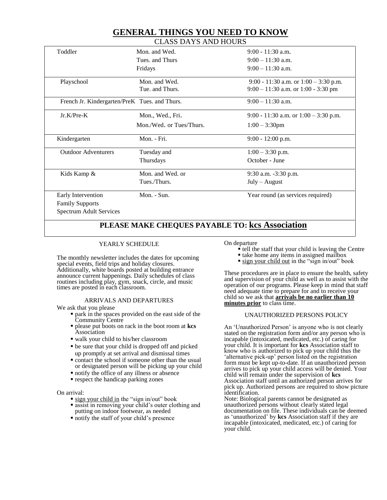# **GENERAL THINGS YOU NEED TO KNOW**

| <b>CLASS DAYS AND HOURS</b> |  |
|-----------------------------|--|
|-----------------------------|--|

| Toddler                                       | Mon. and Wed.            | $9:00 - 11:30$ a.m.                     |
|-----------------------------------------------|--------------------------|-----------------------------------------|
|                                               | Tues, and Thurs          | $9:00 - 11:30$ a.m.                     |
|                                               | Fridays                  | $9:00 - 11:30$ a.m.                     |
| Playschool                                    | Mon. and Wed.            | 9:00 - 11:30 a.m. or $1:00 - 3:30$ p.m. |
|                                               | Tue, and Thurs.          | $9:00 - 11:30$ a.m. or 1:00 - 3:30 pm   |
| French Jr. Kindergarten/PreK Tues. and Thurs. |                          | $9:00 - 11:30$ a.m.                     |
| $Jr.K/Pre-K$                                  | Mon., Wed., Fri.         | 9:00 - 11:30 a.m. or $1:00 - 3:30$ p.m. |
|                                               | Mon./Wed. or Tues/Thurs. | $1:00 - 3:30$ pm                        |
| Kindergarten                                  | Mon. - Fri.              | $9:00 - 12:00$ p.m.                     |
| <b>Outdoor Adventurers</b>                    | Tuesday and              | $1:00 - 3:30$ p.m.                      |
|                                               | Thursdays                | October - June                          |
| Kids Kamp &                                   | Mon. and Wed. or         | $9:30$ a.m. $-3:30$ p.m.                |
|                                               | Tues./Thurs.             | $July - August$                         |
| Early Intervention                            | Mon. - Sun.              | Year round (as services required)       |
| <b>Family Supports</b>                        |                          |                                         |
| <b>Spectrum Adult Services</b>                |                          |                                         |

# **PLEASE MAKE CHEQUES PAYABLE TO: kcs Association**

# YEARLY SCHEDULE

The monthly newsletter includes the dates for upcoming special events, field trips and holiday closures. Additionally, white boards posted at building entrance announce current happenings. Daily schedules of class routines including play, gym, snack, circle, and music times are posted in each classroom.

## ARRIVALS AND DEPARTURES

We ask that you please

- park in the spaces provided on the east side of the Community Centre
- please put boots on rack in the boot room at **kcs** Association
- walk your child to his/her classroom
- be sure that your child is dropped off and picked up promptly at set arrival and dismissal times
- contact the school if someone other than the usual or designated person will be picking up your child
- notify the office of any illness or absence
- **respect the handicap parking zones**

#### On arrival:

- sign your child in the "sign in/out" book
- assist in removing your child's outer clothing and putting on indoor footwear, as needed
- notify the staff of your child's presence

On departure

- $\dot{\bullet}$  tell the staff that your child is leaving the Centre
- take home any items in assigned mailbox
- **sign your child out in the "sign in/out" book**

These procedures are in place to ensure the health, safety and supervision of your child as well as to assist with the operation of our programs. Please keep in mind that staff need adequate time to prepare for and to receive your child so we ask that **arrivals be no earlier than 10 minutes prior** to class time.

## UNAUTHORIZED PERSONS POLICY

An 'Unauthorized Person' is anyone who is not clearly stated on the registration form and/or any person who is incapable (intoxicated, medicated, etc.) of caring for your child. It is important for **kcs** Association staff to know who is authorized to pick up your child thus the 'alternative pick-up' person listed on the registration form must be kept up-to-date. If an unauthorized person arrives to pick up your child access will be denied. Your child will remain under the supervision of **kcs** Association staff until an authorized person arrives for pick up. Authorized persons are required to show picture identification.

Note: Biological parents cannot be designated as unauthorized persons without clearly stated legal documentation on file. These individuals can be deemed as 'unauthorized' by **kcs** Association staff if they are incapable (intoxicated, medicated, etc.) of caring for your child.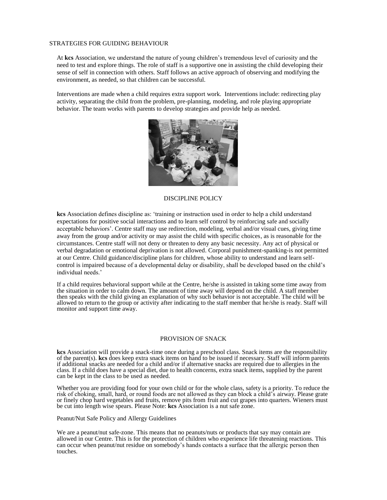#### STRATEGIES FOR GUIDING BEHAVIOUR

At **kcs** Association, we understand the nature of young children's tremendous level of curiosity and the need to test and explore things. The role of staff is a supportive one in assisting the child developing their sense of self in connection with others. Staff follows an active approach of observing and modifying the environment, as needed, so that children can be successful.

Interventions are made when a child requires extra support work. Interventions include: redirecting play activity, separating the child from the problem, pre-planning, modeling, and role playing appropriate behavior. The team works with parents to develop strategies and provide help as needed.



DISCIPLINE POLICY

**kcs** Association defines discipline as: 'training or instruction used in order to help a child understand expectations for positive social interactions and to learn self control by reinforcing safe and socially acceptable behaviors'. Centre staff may use redirection, modeling, verbal and/or visual cues, giving time away from the group and/or activity or may assist the child with specific choices, as is reasonable for the circumstances. Centre staff will not deny or threaten to deny any basic necessity. Any act of physical or verbal degradation or emotional deprivation is not allowed. Corporal punishment-spanking-is not permitted at our Centre. Child guidance/discipline plans for children, whose ability to understand and learn selfcontrol is impaired because of a developmental delay or disability, shall be developed based on the child's individual needs.'

If a child requires behavioral support while at the Centre, he/she is assisted in taking some time away from the situation in order to calm down. The amount of time away will depend on the child. A staff member then speaks with the child giving an explanation of why such behavior is not acceptable. The child will be allowed to return to the group or activity after indicating to the staff member that he/she is ready. Staff will monitor and support time away.

#### PROVISION OF SNACK

**kcs** Association will provide a snack-time once during a preschool class. Snack items are the responsibility of the parent(s). **kcs** does keep extra snack items on hand to be issued if necessary. Staff will inform parents if additional snacks are needed for a child and/or if alternative snacks are required due to allergies in the class. If a child does have a special diet, due to health concerns, extra snack items, supplied by the parent can be kept in the class to be used as needed.

Whether you are providing food for your own child or for the whole class, safety is a priority. To reduce the risk of choking, small, hard, or round foods are not allowed as they can block a child's airway. Please grate or finely chop hard vegetables and fruits, remove pits from fruit and cut grapes into quarters. Wieners must be cut into length wise spears. Please Note: **kcs** Association is a nut safe zone.

Peanut/Nut Safe Policy and Allergy Guidelines

We are a peanut/nut safe-zone. This means that no peanuts/nuts or products that say may contain are allowed in our Centre. This is for the protection of children who experience life threatening reactions. This can occur when peanut/nut residue on somebody's hands contacts a surface that the allergic person then touches.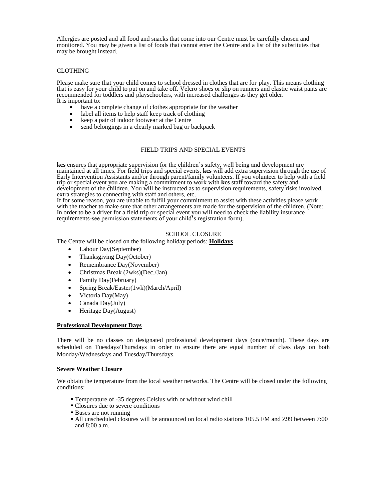Allergies are posted and all food and snacks that come into our Centre must be carefully chosen and monitored. You may be given a list of foods that cannot enter the Centre and a list of the substitutes that may be brought instead.

# CLOTHING

Please make sure that your child comes to school dressed in clothes that are for play. This means clothing that is easy for your child to put on and take off. Velcro shoes or slip on runners and elastic waist pants are recommended for toddlers and playschoolers, with increased challenges as they get older. It is important to:

- have a complete change of clothes appropriate for the weather
- label all items to help staff keep track of clothing
- keep a pair of indoor footwear at the Centre
- send belongings in a clearly marked bag or backpack

# FIELD TRIPS AND SPECIAL EVENTS

**kcs** ensures that appropriate supervision for the children's safety, well being and development are maintained at all times. For field trips and special events, **kcs** will add extra supervision through the use of Early Intervention Assistants and/or through parent/family volunteers. If you volunteer to help with a field trip or special event you are making a commitment to work with **kcs** staff toward the safety and development of the children. You will be instructed as to supervision requirements, safety risks involved, extra strategies to connecting with staff and others, etc.

If for some reason, you are unable to fulfill your commitment to assist with these activities please work with the teacher to make sure that other arrangements are made for the supervision of the children. (Note: In order to be a driver for a field trip or special event you will need to check the liability insurance requirements-see permission statements of your child's registration form).

#### SCHOOL CLOSURE

The Centre will be closed on the following holiday periods: **Holidays**

- Labour Day(September)
- Thanksgiving Day(October)
- Remembrance Day(November)
- Christmas Break (2wks)(Dec./Jan)
- Family Day(February)
- Spring Break/Easter(1wk)(March/April)
- Victoria Day(May)
- Canada Day(July)
- Heritage Day(August)

## **Professional Development Days**

There will be no classes on designated professional development days (once/month). These days are scheduled on Tuesdays/Thursdays in order to ensure there are equal number of class days on both Monday/Wednesdays and Tuesday/Thursdays.

#### **Severe Weather Closure**

We obtain the temperature from the local weather networks. The Centre will be closed under the following conditions:

- Temperature of -35 degrees Celsius with or without wind chill
- Closures due to severe conditions
- Buses are not running
- All unscheduled closures will be announced on local radio stations 105.5 FM and Z99 between 7:00 and 8:00 a.m.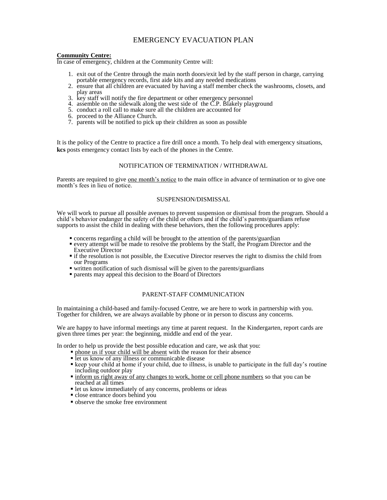# EMERGENCY EVACUATION PLAN

#### **Community Centre:**

In case of emergency, children at the Community Centre will:

- 1. exit out of the Centre through the main north doors/exit led by the staff person in charge, carrying portable emergency records, first aide kits and any needed medications
- 2. ensure that all children are evacuated by having a staff member check the washrooms, closets, and play areas
- 3. key staff will notify the fire department or other emergency personnel
- 4. assemble on the sidewalk along the west side of the  $\check{C}$ . P. Blakely playground
- 5. conduct a roll call to make sure all the children are accounted for
- 6. proceed to the Alliance Church.
- 7. parents will be notified to pick up their children as soon as possible

It is the policy of the Centre to practice a fire drill once a month. To help deal with emergency situations, **kcs** posts emergency contact lists by each of the phones in the Centre.

#### NOTIFICATION OF TERMINATION / WITHDRAWAL

Parents are required to give <u>one month's notice</u> to the main office in advance of termination or to give one month's fees in lieu of notice.

#### SUSPENSION/DISMISSAL

We will work to pursue all possible avenues to prevent suspension or dismissal from the program. Should a child's behavior endanger the safety of the child or others and if the child's parents/guardians refuse supports to assist the child in dealing with these behaviors, then the following procedures apply:

- concerns regarding a child will be brought to the attention of the parents/guardian
- every attempt will be made to resolve the problems by the Staff, the Program Director and the Executive Director
- if the resolution is not possible, the Executive Director reserves the right to dismiss the child from our Programs
- written notification of such dismissal will be given to the parents/guardians
- parents may appeal this decision to the Board of Directors

#### PARENT-STAFF COMMUNICATION

In maintaining a child-based and family-focused Centre, we are here to work in partnership with you. Together for children, we are always available by phone or in person to discuss any concerns.

We are happy to have informal meetings any time at parent request. In the Kindergarten, report cards are given three times per year: the beginning, middle and end of the year.

In order to help us provide the best possible education and care, we ask that you:

- **phone us if your child will be absent with the reason for their absence**
- $\blacksquare$  let us know of any illness or communicable disease
- **Example 1** keep your child at home if your child, due to illness, is unable to participate in the full day's routine including outdoor play
- inform us right away of any changes to work, home or cell phone numbers so that you can be reached at all times
- let us know immediately of any concerns, problems or ideas
- close entrance doors behind you
- **•** observe the smoke free environment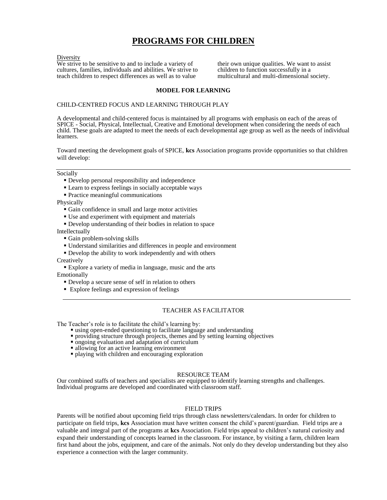# **PROGRAMS FOR CHILDREN**

#### Diversity

We strive to be sensitive to and to include a variety of cultures, families, individuals and abilities. We strive to teach children to respect differences as well as to value

their own unique qualities. We want to assist children to function successfully in a multicultural and multi-dimensional society.

# **MODEL FOR LEARNING**

## CHILD-CENTRED FOCUS AND LEARNING THROUGH PLAY

A developmental and child-centered focus is maintained by all programs with emphasis on each of the areas of SPICE - Social, Physical, Intellectual, Creative and Emotional development when considering the needs of each child. These goals are adapted to meet the needs of each developmental age group as well as the needs of individual learners.

Toward meeting the development goals of SPICE, **kcs** Association programs provide opportunities so that children will develop:

#### Socially

- Develop personal responsibility and independence
- Learn to express feelings in socially acceptable ways
- Practice meaningful communications

Physically

- Gain confidence in small and large motor activities
- Use and experiment with equipment and materials
- Develop understanding of their bodies in relation to space

Intellectually

- Gain problem-solving skills
- Understand similarities and differences in people and environment
- Develop the ability to work independently and with others

**Creatively** 

- Explore a variety of media in language, music and the arts Emotionally
	- Develop a secure sense of self in relation to others
	- Explore feelings and expression of feelings

# TEACHER AS FACILITATOR

The Teacher's role is to facilitate the child's learning by:

- using open-ended questioning to facilitate language and understanding
- providing structure through projects, themes and by setting learning objectives
- ongoing evaluation and adaptation of curriculum
- allowing for an active learning environment
- playing with children and encouraging exploration

## RESOURCE TEAM

Our combined staffs of teachers and specialists are equipped to identify learning strengths and challenges. Individual programs are developed and coordinated with classroom staff.

## FIELD TRIPS

Parents will be notified about upcoming field trips through class newsletters/calendars. In order for children to participate on field trips, **kcs** Association must have written consent the child's parent/guardian. Field trips are a valuable and integral part of the programs at **kcs** Association. Field trips appeal to children's natural curiosity and expand their understanding of concepts learned in the classroom. For instance, by visiting a farm, children learn first hand about the jobs, equipment, and care of the animals. Not only do they develop understanding but they also experience a connection with the larger community.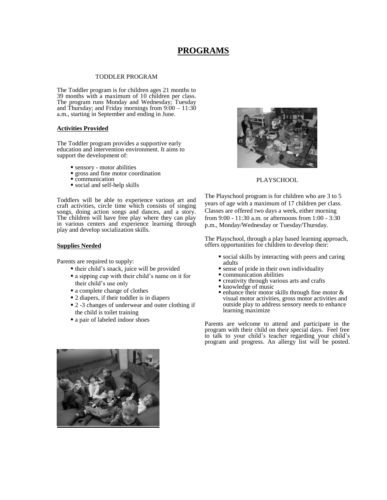# **PROGRAMS**

#### TODDLER PROGRAM

The Toddler program is for children ages 21 months to 39 months with a maximum of 10 children per class. The program runs Monday and Wednesday; Tuesday and Thursday; and Friday mornings from  $9:00 - 11:30$ a.m., starting in September and ending in June.

#### **Activities Provided**

The Toddler program provides a supportive early education and intervention environment. It aims to support the development of:

- sensory motor abilities
- **gross** and fine motor coordination
- communication
- social and self-help skills

Toddlers will be able to experience various art and craft activities, circle time which consists of singing songs, doing action songs and dances, and a story. The children will have free play where they can play in various centers and experience learning through play and develop socialization skills.

#### **Supplies Needed**

Parents are required to supply:

- their child's snack, juice will be provided
- a sipping cup with their child's name on it for their child's use only
- a complete change of clothes
- 2 diapers, if their toddler is in diapers
- 2 -3 changes of underwear and outer clothing if the child is toilet training
- a pair of labeled indoor shoes



#### **PLAYSCHOOL**

The Playschool program is for children who are 3 to 5 years of age with a maximum of 17 children per class. Classes are offered two days a week, either morning from 9:00 - 11:30 a.m. or afternoons from 1:00 - 3:30 p.m., Monday/Wednesday or Tuesday/Thursday.

The Playschool, through a play based learning approach, offers opportunities for children to develop their:

- social skills by interacting with peers and caring adults
- sense of pride in their own individuality
- communication abilities
- **•** creativity through various arts and crafts
- knowledge of music
- $\bullet$  enhance their motor skills through fine motor  $\&$ visual motor activities, gross motor activities and outside play to address sensory needs to enhance learning maximize

Parents are welcome to attend and participate in the program with their child on their special days. Feel free to talk to your child's teacher regarding your child's program and progress. An allergy list will be posted.

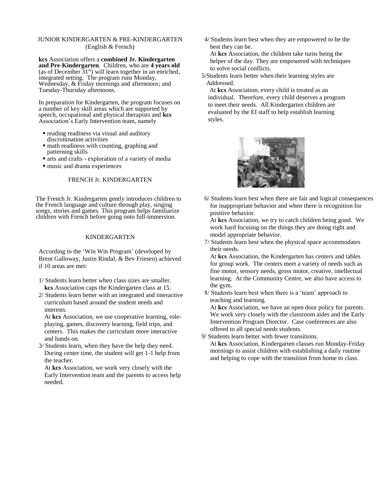# JUNIOR KINDERGARTEN & PRE-KINDERGARTEN (English & French)

**kcs** Association offers a **combined Jr. Kindergarten and Pre-Kindergarten**. Children, who are **4 years old**  (as of December  $31<sup>st</sup>$ ) will learn together in an enriched, integrated setting. The program runs Monday, Wednesday, & Friday mornings and afternoons; and Tuesday-Thursday afternoons.

In preparation for Kindergarten, the program focuses on a number of key skill areas which are supported by speech, occupational and physical therapists and **kcs** Association's Early Intervention team, namely

- reading readiness via visual and auditory discrimination activities
- math readiness with counting, graphing and patterning skills
- arts and crafts exploration of a variety of media
- music and drama experiences

## FRENCH Jr. KINDERGARTEN

The French Jr. Kindergarten gently introduces children to the French language and culture through play, singing songs, stories and games. This program helps familiarize children with French before going onto full-immersion.

# KINDERGARTEN

According to the 'Win Win Program' (developed by Brent Galloway, Justin Rindal, & Bev Friesen) achieved if 10 areas are met:

- 1/ Students learn better when class sizes are smaller. **kcs** Association caps the Kindergarten class at 15.
- 2/ Students learn better with an integrated and interactive curriculum based around the student needs and interests.

At **kcs** Association, we use cooperative learning, roleplaying, games, discovery learning, field trips, and centers. This makes the curriculum more interactive and hands on.

3/ Students learn, when they have the help they need. During center time, the student will get 1-1 help from the teacher.

At **kcs** Association, we work very closely with the Early Intervention team and the parents to access help needed.

4/ Students learn best when they are empowered to be the best they can be.

At **kcs** Association, the children take turns being the helper of the day. They are empowered with techniques to solve social conflicts.

5/Students learn better when their learning styles are Addressed.

At **kcs** Association, every child is treated as an individual. Therefore, every child deserves a program to meet their needs. All Kindergarten children are evaluated by the EI staff to help establish learning styles.



6/ Students learn best when there are fair and logical consequences for inappropriate behavior and when there is recognition for positive behavior.

At **kcs** Association, we try to catch children being good. We work hard focusing on the things they are doing right and model appropriate behavior.

7/ Students learn best when the physical space accommodates their needs.

At **kcs** Association, the Kindergarten has centers and tables for group work. The centers meet a variety of needs such as fine motor, sensory needs, gross motor, creative, intellectual learning. At the Community Centre, we also have access to the gym.

8/ Students learn best when there is a 'team' approach to teaching and learning.

At **kcs** Association, we have an open door policy for parents. We work very closely with the classroom aides and the Early Intervention Program Director. Case conferences are also offered to all special needs students.

9/ Students learn better with fewer transitions.

At **kcs** Association, Kindergarten classes run Monday-Friday mornings to assist children with establishing a daily routine and helping to cope with the transition from home to class.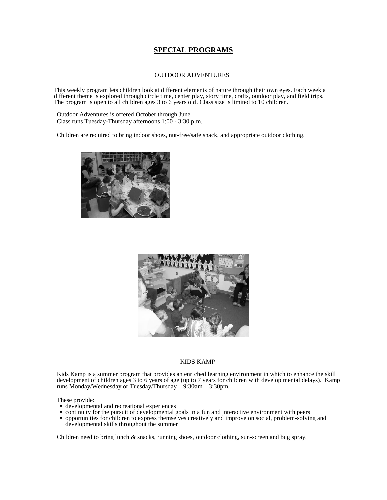# **SPECIAL PROGRAMS**

## OUTDOOR ADVENTURES

This weekly program lets children look at different elements of nature through their own eyes. Each week a different theme is explored through circle time, center play, story time, crafts, outdoor play, and field trips. The program is open to all children ages 3 to 6 years old. Class size is limited to 10 children.

Outdoor Adventures is offered October through June Class runs Tuesday-Thursday afternoons 1:00 - 3:30 p.m.

Children are required to bring indoor shoes, nut-free/safe snack, and appropriate outdoor clothing.





### KIDS KAMP

Kids Kamp is a summer program that provides an enriched learning environment in which to enhance the skill development of children ages 3 to 6 years of age (up to 7 years for children with develop mental delays). Kamp runs Monday/Wednesday or Tuesday/Thursday – 9:30am – 3:30pm.

These provide:

- developmental and recreational experiences
- continuity for the pursuit of developmental goals in a fun and interactive environment with peers
- opportunities for children to express themselves creatively and improve on social, problem-solving and developmental skills throughout the summer

Children need to bring lunch & snacks, running shoes, outdoor clothing, sun-screen and bug spray.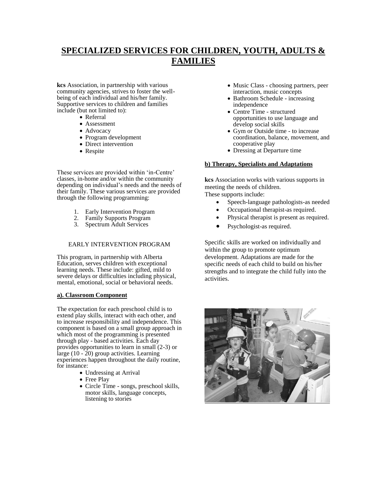# **SPECIALIZED SERVICES FOR CHILDREN, YOUTH, ADULTS & FAMILIES**

**kcs** Association, in partnership with various community agencies, strives to foster the wellbeing of each individual and his/her family. Supportive services to children and families include (but not limited to):

- Referral
- Assessment
- Advocacy
- Program development
- Direct intervention
- Respite

These services are provided within 'in-Centre' classes, in-home and/or within the community depending on individual's needs and the needs of their family. These various services are provided through the following programming:

- 1. Early Intervention Program
- 2. Family Supports Program
- 3. Spectrum Adult Services

## EARLY INTERVENTION PROGRAM

This program, in partnership with Alberta Education, serves children with exceptional learning needs. These include: gifted, mild to severe delays or difficulties including physical, mental, emotional, social or behavioral needs.

# **a). Classroom Component**

The expectation for each preschool child is to extend play skills, interact with each other, and to increase responsibility and independence. This component is based on a small group approach in which most of the programming is presented through play - based activities. Each day provides opportunities to learn in small (2-3) or large  $(10 - 20)$  group activities. Learning experiences happen throughout the daily routine, for instance:

- Undressing at Arrival
- Free Play
- Circle Time songs, preschool skills, motor skills, language concepts, listening to stories
- Music Class choosing partners, peer interaction, music concepts
- Bathroom Schedule increasing independence
- Centre Time structured opportunities to use language and develop social skills
- Gym or Outside time to increase coordination, balance, movement, and cooperative play
- Dressing at Departure time

## **b) Therapy, Specialists and Adaptations**

**kcs** Association works with various supports in meeting the needs of children. These supports include:

- Speech-language pathologists-as needed
- Occupational therapist-as required.
- Physical therapist is present as required.
- Psychologist-as required.

Specific skills are worked on individually and within the group to promote optimum development. Adaptations are made for the specific needs of each child to build on his/her strengths and to integrate the child fully into the activities.

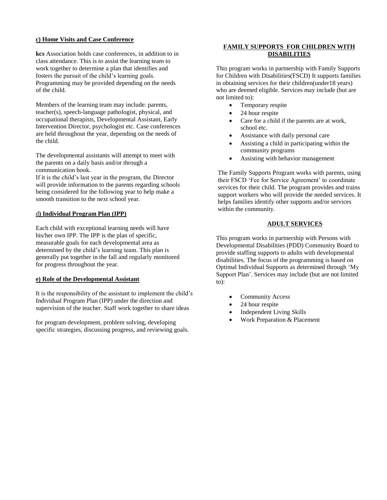# **c) Home Visits and Case Conference**

**kcs** Association holds case conferences, in addition to in class attendance. This is to assist the learning team to work together to determine a plan that identifies and fosters the pursuit of the child's learning goals. Programming may be provided depending on the needs of the child.

Members of the learning team may include: parents, teacher(s), speech-language pathologist, physical, and occupational therapists, Developmental Assistant, Early Intervention Director, psychologist etc. Case conferences are held throughout the year, depending on the needs of the child.

The developmental assistants will attempt to meet with the parents on a daily basis and/or through a communication book.

If it is the child's last year in the program, the Director will provide information to the parents regarding schools being considered for the following year to help make a smooth transition to the next school year.

# d**) Individual Program Plan (IPP)**

Each child with exceptional learning needs will have his/her own IPP. The IPP is the plan of specific, measurable goals for each developmental area as determined by the child's learning team. This plan is generally put together in the fall and regularly monitored for progress throughout the year.

## **e) Role of the Developmental Assistant**

It is the responsibility of the assistant to implement the child's Individual Program Plan (IPP) under the direction and supervision of the teacher. Staff work together to share ideas

for program development, problem solving, developing specific strategies, discussing progress, and reviewing goals.

# **FAMILY SUPPORTS FOR CHILDREN WITH DISABILITIES**

This program works in partnership with Family Supports for Children with Disabilities(FSCD) It supports families in obtaining services for their children(under18 years) who are deemed eligible. Services may include (but are not limited to):

- Temporary respite
- 24 hour respite
- Care for a child if the parents are at work, school etc.
- Assistance with daily personal care
- Assisting a child in participating within the community programs
- Assisting with behavior management

The Family Supports Program works with parents, using their FSCD 'Fee for Service Agreement' to coordinate services for their child. The program provides and trains support workers who will provide the needed services. It helps families identify other supports and/or services within the community.

# **ADULT SERVICES**

This program works in partnership with Persons with Developmental Disabilities (PDD) Community Board to provide staffing supports to adults with developmental disabilities. The focus of the programming is based on Optimal Individual Supports as determined through 'My Support Plan'. Services may include (but are not limited to):

- Community Access
- 24 hour respite
- Independent Living Skills
- Work Preparation & Placement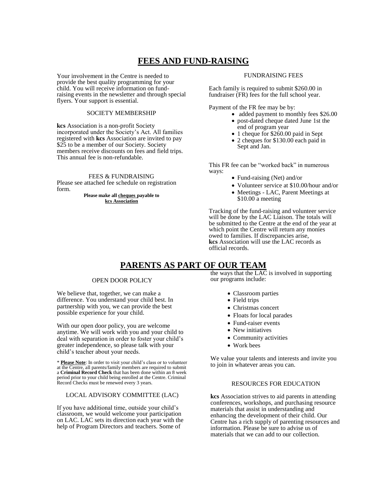# **FEES AND FUND-RAISING**

Your involvement in the Centre is needed to provide the best quality programming for your child. You will receive information on fundraising events in the newsletter and through special flyers. Your support is essential.

#### SOCIETY MEMBERSHIP

**kcs** Association is a non-profit Society incorporated under the Society's Act. All families registered with **kcs** Association are invited to pay \$25 to be a member of our Society. Society members receive discounts on fees and field trips. This annual fee is non-refundable.

#### FEES & FUNDRAISING

Please see attached fee schedule on registration form.

> **Please make all cheques payable to kcs Association**

#### FUNDRAISING FEES

Each family is required to submit \$260.00 in fundraiser (FR) fees for the full school year.

Payment of the FR fee may be by:

- added payment to monthly fees \$26.00
- post-dated cheque dated June 1st the end of program year
- 1 cheque for \$260.00 paid in Sept
- 2 cheques for \$130.00 each paid in Sept and Jan.

This FR fee can be "worked back" in numerous ways:

- Fund-raising (Net) and/or
- Volunteer service at \$10.00/hour and/or
- Meetings LAC, Parent Meetings at \$10.00 a meeting

Tracking of the fund-raising and volunteer service will be done by the LAC Liaison. The totals will be submitted to the Centre at the end of the year at which point the Centre will return any monies owed to families. If discrepancies arise, **kcs** Association will use the LAC records as official records.

# **PARENTS AS PART OF OUR TEAM**

#### OPEN DOOR POLICY

We believe that, together, we can make a difference. You understand your child best. In partnership with you, we can provide the best possible experience for your child.

With our open door policy, you are welcome anytime. We will work with you and your child to deal with separation in order to foster your child's greater independence, so please talk with your child's teacher about your needs.

\* **Please Note**: In order to visit your child's class or to volunteer at the Centre, all parents/family members are required to submit a **Criminal Record Check** that has been done within an 8 week period prior to your child being enrolled at the Centre. Criminal Record Checks must be renewed every 3 years.

## LOCAL ADVISORY COMMITTEE (LAC)

If you have additional time, outside your child's classroom, we would welcome your participation on LAC. LAC sets its direction each year with the help of Program Directors and teachers. Some of

the ways that the LAC is involved in supporting our programs include:

- Classroom parties
- Field trips
- Christmas concert
- Floats for local parades
- Fund-raiser events
- New initiatives
- Community activities
- Work bees

We value your talents and interests and invite you to join in whatever areas you can.

## RESOURCES FOR EDUCATION

**kcs** Association strives to aid parents in attending conferences, workshops, and purchasing resource materials that assist in understanding and enhancing the development of their child. Our Centre has a rich supply of parenting resources and information. Please be sure to advise us of materials that we can add to our collection.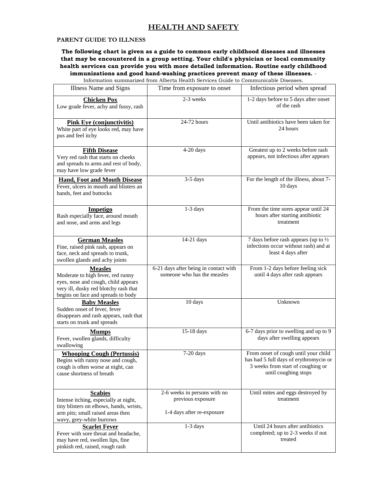# **PARENT GUIDE TO ILLNESS**

**The following chart is given as a guide to common early childhood diseases and illnesses that may be encountered in a group setting. Your child's physician or local community health services can provide you with more detailed information. Routine early childhood immunizations and good hand-washing practices prevent many of these illnesses.** -

Information summarized from Alberta Health Services Guide to Communicable Diseases.

| Illness Name and Signs                                                                                                                                                    | Time from exposure to onset                                                     | Infectious period when spread                                                                                                               |
|---------------------------------------------------------------------------------------------------------------------------------------------------------------------------|---------------------------------------------------------------------------------|---------------------------------------------------------------------------------------------------------------------------------------------|
| <b>Chicken Pox</b><br>Low grade fever, achy and fussy, rash                                                                                                               | 2-3 weeks                                                                       | 1-2 days before to 5 days after onset<br>of the rash                                                                                        |
| <b>Pink Eye</b> (conjunctivitis)<br>White part of eye looks red, may have<br>pus and feel itchy                                                                           | 24-72 hours                                                                     | Until antibiotics have been taken for<br>24 hours                                                                                           |
| <b>Fifth Disease</b><br>Very red rash that starts on cheeks<br>and spreads to arms and rest of body,<br>may have low grade fever                                          | 4-20 days                                                                       | Greatest up to 2 weeks before rash<br>appears, not infectious after appears                                                                 |
| <b>Hand, Foot and Mouth Disease</b><br>Fever, ulcers in mouth and blisters an<br>hands, feet and buttocks                                                                 | 3-5 days                                                                        | For the length of the illness, about 7-<br>10 days                                                                                          |
| <b>Impetigo</b><br>Rash especially face, around mouth<br>and nose, and arms and legs                                                                                      | 1-3 days                                                                        | From the time sores appear until 24<br>hours after starting antibiotic<br>treatment                                                         |
| <b>German Measles</b><br>Fine, raised pink rash, appears on<br>face, neck and spreads to trunk,<br>swollen glands and achy joints                                         | 14-21 days                                                                      | 7 days before rash appears (up to $\frac{1}{2}$<br>infections occur without rash) and at<br>least 4 days after                              |
| <b>Measles</b><br>Moderate to high fever, red runny<br>eyes, nose and cough, child appears<br>very ill, dusky red blotchy rash that<br>begins on face and spreads to body | 6-21 days after being in contact with<br>someone who has the measles            | From 1-2 days before feeling sick<br>until 4 days after rash appears                                                                        |
| <b>Baby Measles</b><br>Sudden onset of fever, fever<br>disappears and rash appears, rash that<br>starts on trunk and spreads                                              | 10 days                                                                         | Unknown                                                                                                                                     |
| <b>Mumps</b><br>Fever, swollen glands, difficulty<br>swallowing                                                                                                           | 15-18 days                                                                      | 6-7 days prior to swelling and up to 9<br>days after swelling appears                                                                       |
| <b>Whooping Cough (Pertussis)</b><br>Begins with runny nose and cough,<br>cough is often worse at night, can<br>cause shortness of breath                                 | $7-20$ days                                                                     | From onset of cough until your child<br>has had 5 full days of erythromycin or<br>3 weeks from start of coughing or<br>until coughing stops |
| <b>Scabies</b><br>Intense itching, especially at night,<br>tiny blisters on elbows, hands, wrists,<br>arm pits; small raised areas then<br>wavy, grey-white burrows       | 2-6 weeks in persons with no<br>previous exposure<br>1-4 days after re-exposure | Until mites and eggs destroyed by<br>treatment                                                                                              |
| <b>Scarlet Fever</b><br>Fever with sore throat and headache,<br>may have red, swollen lips, fine<br>pinkish red, raised, rough rash                                       | $1-3$ days                                                                      | Until 24 hours after antibiotics<br>completed; up to 2-3 weeks if not<br>treated                                                            |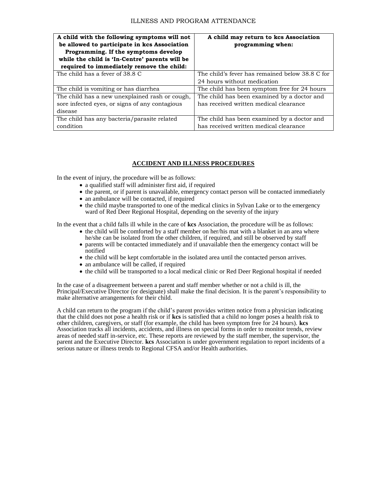| A child with the following symptoms will not<br>be allowed to participate in kcs Association | A child may return to kcs Association<br>programming when: |
|----------------------------------------------------------------------------------------------|------------------------------------------------------------|
| Programming. If the symptoms develop                                                         |                                                            |
| while the child is 'In-Centre' parents will be                                               |                                                            |
| required to immediately remove the child:                                                    |                                                            |
| The child has a fever of 38.8 C                                                              | The child's fever has remained below 38.8 C for            |
|                                                                                              | 24 hours without medication                                |
| The child is vomiting or has diarrhea.                                                       | The child has been symptom free for 24 hours               |
| The child has a new unexplained rash or cough,                                               | The child has been examined by a doctor and                |
| sore infected eyes, or signs of any contagious                                               | has received written medical clearance                     |
| disease                                                                                      |                                                            |
| The child has any bacteria/parasite related                                                  | The child has been examined by a doctor and                |
| condition                                                                                    | has received written medical clearance                     |

# **ACCIDENT AND ILLNESS PROCEDURES**

In the event of injury, the procedure will be as follows:

- a qualified staff will administer first aid, if required
- the parent, or if parent is unavailable, emergency contact person will be contacted immediately
- an ambulance will be contacted, if required
- the child maybe transported to one of the medical clinics in Sylvan Lake or to the emergency ward of Red Deer Regional Hospital, depending on the severity of the injury

In the event that a child falls ill while in the care of **kcs** Association, the procedure will be as follows:

- the child will be comforted by a staff member on her/his mat with a blanket in an area where he/she can be isolated from the other children, if required, and still be observed by staff
- parents will be contacted immediately and if unavailable then the emergency contact will be notified
- the child will be kept comfortable in the isolated area until the contacted person arrives.
- an ambulance will be called, if required
- the child will be transported to a local medical clinic or Red Deer Regional hospital if needed

In the case of a disagreement between a parent and staff member whether or not a child is ill, the Principal/Executive Director (or designate) shall make the final decision. It is the parent's responsibility to make alternative arrangements for their child.

A child can return to the program if the child's parent provides written notice from a physician indicating that the child does not pose a health risk or if **kcs** is satisfied that a child no longer poses a health risk to other children, caregivers, or staff (for example, the child has been symptom free for 24 hours). **kcs** Association tracks all incidents, accidents, and illness on special forms in order to monitor trends, review areas of needed staff in-service, etc. These reports are reviewed by the staff member, the supervisor, the parent and the Executive Director. **kcs** Association is under government regulation to report incidents of a serious nature or illness trends to Regional CFSA and/or Health authorities.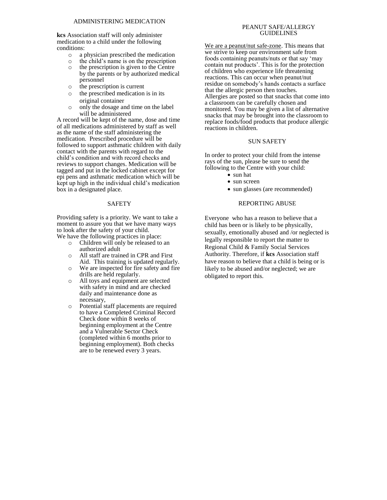**kcs** Association staff will only administer medication to a child under the following conditions:

- o a physician prescribed the medication
- o the child's name is on the prescription
- o the prescription is given to the Centre by the parents or by authorized medical personnel
- o the prescription is current
- o the prescribed medication is in its original container
- o only the dosage and time on the label will be administered

A record will be kept of the name, dose and time of all medications administered by staff as well as the name of the staff administering the medication. Prescribed procedure will be followed to support asthmatic children with daily contact with the parents with regard to the child's condition and with record checks and reviews to support changes. Medication will be tagged and put in the locked cabinet except for epi pens and asthmatic medication which will be kept up high in the individual child's medication box in a designated place.

#### SAFETY

Providing safety is a priority. We want to take a moment to assure you that we have many ways to look after the safety of your child.

We have the following practices in place:

- o Children will only be released to an authorized adult
- o All staff are trained in CPR and First Aid. This training is updated regularly.
- o We are inspected for fire safety and fire drills are held regularly.
- o All toys and equipment are selected with safety in mind and are checked daily and maintenance done as necessary,
- o Potential staff placements are required to have a Completed Criminal Record Check done within 8 weeks of beginning employment at the Centre and a Vulnerable Sector Check (completed within 6 months prior to beginning employment). Both checks are to be renewed every 3 years.

# PEANUT SAFE/ALLERGY GUIDELINES

We are a peanut/nut safe-zone. This means that we strive to keep our environment safe from foods containing peanuts/nuts or that say 'may contain nut products'. This is for the protection of children who experience life threatening reactions. This can occur when peanut/nut residue on somebody's hands contacts a surface that the allergic person then touches. Allergies are posted so that snacks that come into a classroom can be carefully chosen and monitored. You may be given a list of alternative snacks that may be brought into the classroom to replace foods/food products that produce allergic reactions in children.

## SUN SAFETY

In order to protect your child from the intense rays of the sun, please be sure to send the following to the Centre with your child:

- sun hat
- sun screen
- sun glasses (are recommended)

# REPORTING ABUSE

Everyone who has a reason to believe that a child has been or is likely to be physically, sexually, emotionally abused and /or neglected is legally responsible to report the matter to Regional Child & Family Social Services Authority. Therefore, if **kcs** Association staff have reason to believe that a child is being or is likely to be abused and/or neglected; we are obligated to report this.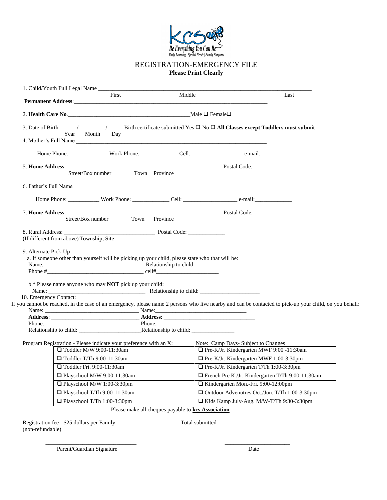

# REGISTRATION-EMERGENCY FILE **Please Print Clearly**

| Permanent Address: <u>and a series of the contract of the contract of the contract of the contract of the contract of the contract of the contract of the contract of the contract of the contract of the contract of the contra</u> | First                                               | Middle |                                                | Last                                                                                                                                                    |
|--------------------------------------------------------------------------------------------------------------------------------------------------------------------------------------------------------------------------------------|-----------------------------------------------------|--------|------------------------------------------------|---------------------------------------------------------------------------------------------------------------------------------------------------------|
| 2. Health Care No. Male $\Box$ Female $\Box$                                                                                                                                                                                         |                                                     |        |                                                |                                                                                                                                                         |
| 3. Date of Birth ___/ ___ /____ Birth certificate submitted Yes $\Box$ No $\Box$ All Classes except Toddlers must submit                                                                                                             | Year Month Day                                      |        |                                                |                                                                                                                                                         |
|                                                                                                                                                                                                                                      | Home Phone: Work Phone: Cell: Cell: e-mail: e-mail: |        |                                                |                                                                                                                                                         |
| 5. Home Address                                                                                                                                                                                                                      |                                                     |        |                                                |                                                                                                                                                         |
|                                                                                                                                                                                                                                      | Street/Box number Town Province                     |        |                                                |                                                                                                                                                         |
| 6. Father's Full Name                                                                                                                                                                                                                |                                                     |        |                                                |                                                                                                                                                         |
|                                                                                                                                                                                                                                      |                                                     |        |                                                |                                                                                                                                                         |
| 7. Home Address: Street/Box number Town Province Postal Code: ___________________                                                                                                                                                    |                                                     |        |                                                |                                                                                                                                                         |
|                                                                                                                                                                                                                                      |                                                     |        |                                                |                                                                                                                                                         |
|                                                                                                                                                                                                                                      |                                                     |        |                                                |                                                                                                                                                         |
| (If different from above) Township, Site                                                                                                                                                                                             |                                                     |        |                                                |                                                                                                                                                         |
| a. If someone other than yourself will be picking up your child, please state who that will be:                                                                                                                                      |                                                     |        |                                                |                                                                                                                                                         |
|                                                                                                                                                                                                                                      |                                                     |        |                                                |                                                                                                                                                         |
| $b.*$ Please name anyone who may <b>NOT</b> pick up your child:                                                                                                                                                                      |                                                     |        |                                                |                                                                                                                                                         |
| 10. Emergency Contact:                                                                                                                                                                                                               |                                                     |        |                                                |                                                                                                                                                         |
|                                                                                                                                                                                                                                      |                                                     |        |                                                | If you cannot be reached, in the case of an emergency, please name 2 persons who live nearby and can be contacted to pick-up your child, on you behalf: |
|                                                                                                                                                                                                                                      |                                                     |        |                                                |                                                                                                                                                         |
|                                                                                                                                                                                                                                      |                                                     |        |                                                |                                                                                                                                                         |
|                                                                                                                                                                                                                                      |                                                     |        |                                                |                                                                                                                                                         |
| Program Registration - Please indicate your preference with an X:                                                                                                                                                                    |                                                     |        |                                                | Note: Camp Days- Subject to Changes                                                                                                                     |
|                                                                                                                                                                                                                                      | $\Box$ Toddler M/W 9:00-11:30am                     |        |                                                | Pre-K/Jr. Kindergarten MWF 9:00 -11:30am                                                                                                                |
|                                                                                                                                                                                                                                      | $\Box$ Toddler T/Th 9:00-11:30am                    |        | $\Box$ Pre-K/Jr. Kindergarten MWF 1:00-3:30pm  |                                                                                                                                                         |
|                                                                                                                                                                                                                                      | Toddler Fri. 9:00-11:30am                           |        | $\Box$ Pre-K/Jr. Kindergarten T/Th 1:00-3:30pm |                                                                                                                                                         |
|                                                                                                                                                                                                                                      | Playschool M/W 9:00-11:30am                         |        |                                                | French Pre K /Jr. Kindergarten T/Th 9:00-11:30am                                                                                                        |
|                                                                                                                                                                                                                                      | Playschool M/W 1:00-3:30pm                          |        | Kindergarten Mon.-Fri. 9:00-12:00pm            |                                                                                                                                                         |
|                                                                                                                                                                                                                                      | Playschool T/Th 9:00-11:30am                        |        |                                                | □ Outdoor Advenutres Oct./Jun. T/Th 1:00-3:30pm                                                                                                         |
|                                                                                                                                                                                                                                      | □ Playschool T/Th 1:00-3:30pm                       |        |                                                | □ Kids Kamp July-Aug. M/W-T/Th 9:30-3:30pm                                                                                                              |

(non-refundable)

 $\overline{\phantom{a}}$  ,  $\overline{\phantom{a}}$  ,  $\overline{\phantom{a}}$  ,  $\overline{\phantom{a}}$  ,  $\overline{\phantom{a}}$  ,  $\overline{\phantom{a}}$  ,  $\overline{\phantom{a}}$  ,  $\overline{\phantom{a}}$  ,  $\overline{\phantom{a}}$  ,  $\overline{\phantom{a}}$  ,  $\overline{\phantom{a}}$  ,  $\overline{\phantom{a}}$  ,  $\overline{\phantom{a}}$  ,  $\overline{\phantom{a}}$  ,  $\overline{\phantom{a}}$  ,  $\overline{\phantom{a}}$ 

Parent/Guardian Signature Date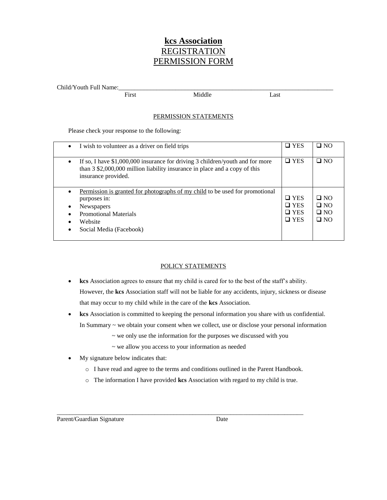# **kcs Association** REGISTRATION PERMISSION FORM

Child/Youth Full Name:

First Middle Last

# PERMISSION STATEMENTS

Please check your response to the following:

| I wish to volunteer as a driver on field trips<br>$\bullet$                                                                                                                                          | $\square$ YES                                        | $\square$ NO                                     |
|------------------------------------------------------------------------------------------------------------------------------------------------------------------------------------------------------|------------------------------------------------------|--------------------------------------------------|
| If so, I have $$1,000,000$ insurance for driving 3 children/youth and for more<br>$\bullet$<br>than 3 \$2,000,000 million liability insurance in place and a copy of this<br>insurance provided.     | $\Box$ YES                                           | $\Box$ NO                                        |
| Permission is granted for photographs of my child to be used for promotional<br>purposes in:<br><b>Newspapers</b><br>$\bullet$<br><b>Promotional Materials</b><br>Website<br>Social Media (Facebook) | $\Box$ YES<br>$\Box$ YES<br>$\Box$ YES<br>$\Box$ YES | $\Box$ NO<br>$\Box$ NO<br>$\Box$ NO<br>$\Box$ NO |

# POLICY STATEMENTS

- **kcs** Association agrees to ensure that my child is cared for to the best of the staff's ability. However, the **kcs** Association staff will not be liable for any accidents, injury, sickness or disease that may occur to my child while in the care of the **kcs** Association.
- **kcs** Association is committed to keeping the personal information you share with us confidential. In Summary  $\sim$  we obtain your consent when we collect, use or disclose your personal information
	- ~ we only use the information for the purposes we discussed with you
	- ~ we allow you access to your information as needed

\_\_\_\_\_\_\_\_\_\_\_\_\_\_\_\_\_\_\_\_\_\_\_\_\_\_\_\_\_\_\_\_\_\_\_\_\_\_\_\_\_\_\_\_\_\_\_\_\_\_\_\_\_\_\_\_\_\_\_\_\_\_\_\_\_\_\_\_\_\_\_\_\_\_\_\_\_\_

- My signature below indicates that:
	- o I have read and agree to the terms and conditions outlined in the Parent Handbook.
	- o The information I have provided **kcs** Association with regard to my child is true.

Parent/Guardian Signature Date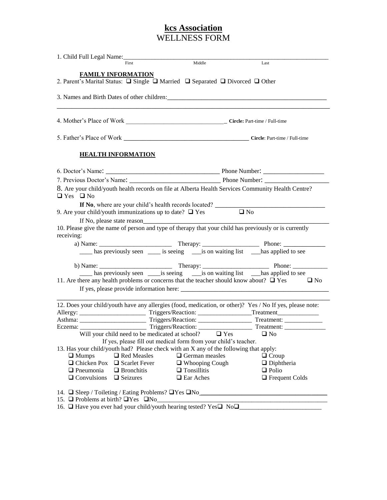# **kcs Association** WELLNESS FORM

| First                                                                                                               | Middle                                                          | Last                                                                                                     |
|---------------------------------------------------------------------------------------------------------------------|-----------------------------------------------------------------|----------------------------------------------------------------------------------------------------------|
| <b>FAMILY INFORMATION</b>                                                                                           |                                                                 |                                                                                                          |
| 2. Parent's Marital Status: □ Single □ Married □ Separated □ Divorced □ Other                                       |                                                                 |                                                                                                          |
|                                                                                                                     |                                                                 |                                                                                                          |
|                                                                                                                     |                                                                 |                                                                                                          |
|                                                                                                                     |                                                                 |                                                                                                          |
| <b>HEALTH INFORMATION</b>                                                                                           |                                                                 |                                                                                                          |
|                                                                                                                     |                                                                 |                                                                                                          |
|                                                                                                                     |                                                                 |                                                                                                          |
| $\Box$ Yes $\Box$ No                                                                                                |                                                                 | 8. Are your child/youth health records on file at Alberta Health Services Community Health Centre?       |
|                                                                                                                     |                                                                 |                                                                                                          |
| 9. Are your child/youth immunizations up to date? $\Box$ Yes $\Box$ No                                              |                                                                 |                                                                                                          |
|                                                                                                                     |                                                                 |                                                                                                          |
| 10. Please give the name of person and type of therapy that your child has previously or is currently<br>receiving: |                                                                 |                                                                                                          |
|                                                                                                                     |                                                                 |                                                                                                          |
|                                                                                                                     |                                                                 | has previously seen ______ is seeing _______ is on waiting list ___________ has applied to see           |
|                                                                                                                     |                                                                 |                                                                                                          |
|                                                                                                                     |                                                                 |                                                                                                          |
| 11. Are there any health problems or concerns that the teacher should know about? $\Box$ Yes                        |                                                                 | $\Box$ No                                                                                                |
|                                                                                                                     |                                                                 |                                                                                                          |
|                                                                                                                     |                                                                 | 12. Does your child/youth have any allergies (food, medication, or other)? Yes / No If yes, please note: |
|                                                                                                                     |                                                                 |                                                                                                          |
|                                                                                                                     |                                                                 |                                                                                                          |
| Will your child need to be medicated at school? $\Box$ Yes $\Box$ No                                                |                                                                 |                                                                                                          |
|                                                                                                                     | If yes, please fill out medical form from your child's teacher. |                                                                                                          |
| 13. Has your child/youth had? Please check with an X any of the following that apply:                               |                                                                 |                                                                                                          |
| □ Red Measles<br>$\Box$ Mumps                                                                                       | $\Box$ German measles                                           | $\Box$ Croup                                                                                             |
| $\Box$ Chicken Pox<br>$\Box$ Scarlet Fever                                                                          | $\Box$ Whooping Cough                                           | $\Box$ Diphtheria                                                                                        |
| $\Box$ Pneumonia<br>$\Box$ Bronchitis                                                                               | $\Box$ Tonsillitis                                              | $\Box$ Polio                                                                                             |
| $\Box$ Convulsions<br>$\Box$ Seizures                                                                               | $\Box$ Ear Aches                                                | $\Box$ Frequent Colds                                                                                    |
|                                                                                                                     |                                                                 |                                                                                                          |
|                                                                                                                     |                                                                 | 14. $\Box$ Sleep / Toileting / Eating Problems? $\Box$ Yes $\Box$ No                                     |
| 17.7                                                                                                                |                                                                 |                                                                                                          |

16.  $\Box$  Have you ever had your child/youth hearing tested? Yes $\Box$  No $\Box$